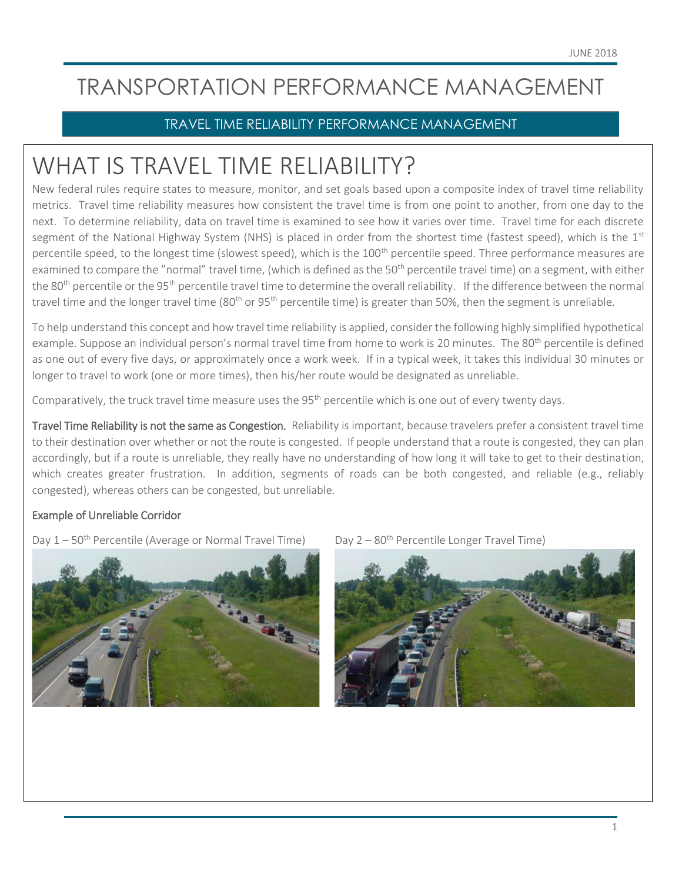#### TRANSPORTATION PERFORMANCE MANAGEMENT

#### TRAVEL TIME RELIABILITY PERFORMANCE MANAGEMENT

### WHAT IS TRAVEL TIME RELIABILITY?

New federal rules require states to measure, monitor, and set goals based upon a composite index of travel time reliability metrics. Travel time reliability measures how consistent the travel time is from one point to another, from one day to the next. To determine reliability, data on travel time is examined to see how it varies over time. Travel time for each discrete segment of the National Highway System (NHS) is placed in order from the shortest time (fastest speed), which is the 1<sup>st</sup> percentile speed, to the longest time (slowest speed), which is the 100<sup>th</sup> percentile speed. Three performance measures are examined to compare the "normal" travel time, (which is defined as the 50<sup>th</sup> percentile travel time) on a segment, with either the 80<sup>th</sup> percentile or the 95<sup>th</sup> percentile travel time to determine the overall reliability. If the difference between the normal travel time and the longer travel time  $(80<sup>th</sup>$  or 95<sup>th</sup> percentile time) is greater than 50%, then the segment is unreliable.

To help understand this concept and how travel time reliability is applied, consider the following highly simplified hypothetical example. Suppose an individual person's normal travel time from home to work is 20 minutes. The 80<sup>th</sup> percentile is defined as one out of every five days, or approximately once a work week. If in a typical week, it takes this individual 30 minutes or longer to travel to work (one or more times), then his/her route would be designated as unreliable.

Comparatively, the truck travel time measure uses the 95<sup>th</sup> percentile which is one out of every twenty days.

Travel Time Reliability is not the same as Congestion. Reliability is important, because travelers prefer a consistent travel time to their destination over whether or not the route is congested. If people understand that a route is congested, they can plan accordingly, but if a route is unreliable, they really have no understanding of how long it will take to get to their destination, which creates greater frustration. In addition, segments of roads can be both congested, and reliable (e.g., reliably congested), whereas others can be congested, but unreliable.

#### Example of Unreliable Corridor

Day  $1 - 50$ <sup>th</sup> Percentile (Average or Normal Travel Time) Day  $2 - 80$ <sup>th</sup> Percentile Longer Travel Time)



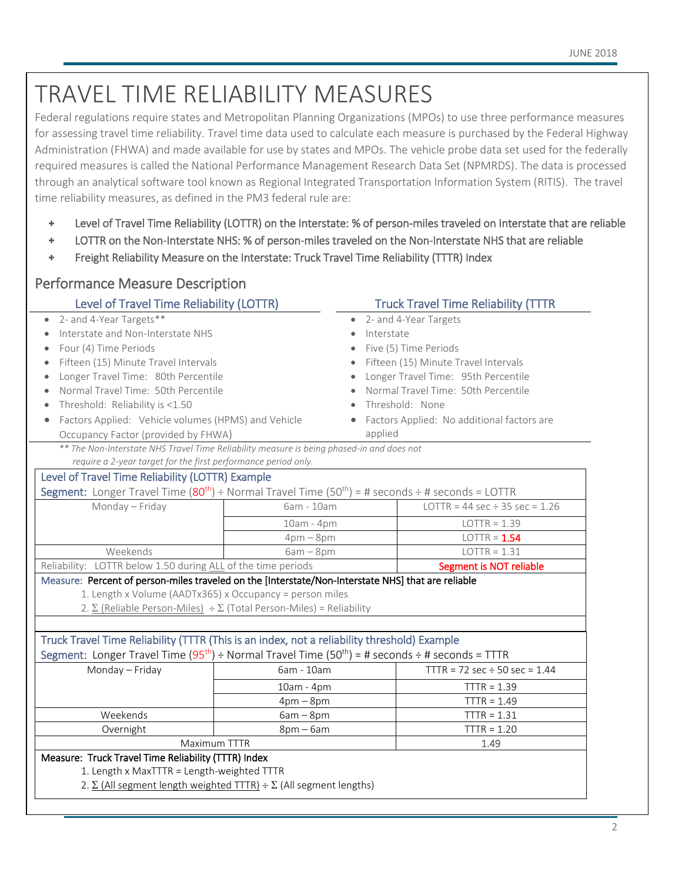## TRAVEL TIME RELIABILITY MEASURES

Federal regulations require states and Metropolitan Planning Organizations (MPOs) to use three performance measures for assessing travel time reliability. Travel time data used to calculate each measure is purchased by the Federal Highway Administration (FHWA) and made available for use by states and MPOs. The vehicle probe data set used for the federally required measures is called the National Performance Management Research Data Set (NPMRDS). The data is processed through an analytical software tool known as Regional Integrated Transportation Information System (RITIS). The travel time reliability measures, as defined in the PM3 federal rule are:

- + Level of Travel Time Reliability (LOTTR) on the Interstate: % of person-miles traveled on Interstate that are reliable
- + LOTTR on the Non-Interstate NHS: % of person-miles traveled on the Non-Interstate NHS that are reliable
- + Freight Reliability Measure on the Interstate: Truck Travel Time Reliability (TTTR) Index

| <b>Performance Measure Description</b>                                                                                                                                                                                                                                                                                                                                                                                                                 |                |                                                                                                                                                                                                                                                                             |                                     |  |  |
|--------------------------------------------------------------------------------------------------------------------------------------------------------------------------------------------------------------------------------------------------------------------------------------------------------------------------------------------------------------------------------------------------------------------------------------------------------|----------------|-----------------------------------------------------------------------------------------------------------------------------------------------------------------------------------------------------------------------------------------------------------------------------|-------------------------------------|--|--|
| Level of Travel Time Reliability (LOTTR)                                                                                                                                                                                                                                                                                                                                                                                                               |                | <b>Truck Travel Time Reliability (TTTR</b>                                                                                                                                                                                                                                  |                                     |  |  |
| 2- and 4-Year Targets**<br>$\bullet$<br>Interstate and Non-Interstate NHS<br>Four (4) Time Periods<br>Fifteen (15) Minute Travel Intervals<br>Longer Travel Time: 80th Percentile<br>Normal Travel Time: 50th Percentile<br>Threshold: Reliability is <1.50<br>Factors Applied: Vehicle volumes (HPMS) and Vehicle<br>Occupancy Factor (provided by FHWA)<br>** The Non-Interstate NHS Travel Time Reliability measure is being phased-in and does not |                | 2- and 4-Year Targets<br>$\bullet$<br>Interstate<br>Five (5) Time Periods<br>Fifteen (15) Minute Travel Intervals<br>Longer Travel Time: 95th Percentile<br>Normal Travel Time: 50th Percentile<br>Threshold: None<br>Factors Applied: No additional factors are<br>applied |                                     |  |  |
| require a 2-year target for the first performance period only.                                                                                                                                                                                                                                                                                                                                                                                         |                |                                                                                                                                                                                                                                                                             |                                     |  |  |
| Level of Travel Time Reliability (LOTTR) Example<br><b>Segment:</b> Longer Travel Time $(80^{th}) \div$ Normal Travel Time $(50^{th}) = #$ seconds $\div$ # seconds = LOTTR                                                                                                                                                                                                                                                                            |                |                                                                                                                                                                                                                                                                             |                                     |  |  |
| Monday - Friday                                                                                                                                                                                                                                                                                                                                                                                                                                        | 6am - 10am     |                                                                                                                                                                                                                                                                             | LOTTR = 44 sec $\div$ 35 sec = 1.26 |  |  |
|                                                                                                                                                                                                                                                                                                                                                                                                                                                        | 10am - 4pm     |                                                                                                                                                                                                                                                                             | $LOTTR = 1.39$                      |  |  |
|                                                                                                                                                                                                                                                                                                                                                                                                                                                        | $4pm-8pm$      |                                                                                                                                                                                                                                                                             | $LOTTR = 1.54$                      |  |  |
| Weekends                                                                                                                                                                                                                                                                                                                                                                                                                                               | $6am - 8pm$    |                                                                                                                                                                                                                                                                             | $LOTTR = 1.31$                      |  |  |
| Reliability: LOTTR below 1.50 during ALL of the time periods                                                                                                                                                                                                                                                                                                                                                                                           |                | Segment is NOT reliable                                                                                                                                                                                                                                                     |                                     |  |  |
| Measure: Percent of person-miles traveled on the [Interstate/Non-Interstate NHS] that are reliable<br>1. Length x Volume (AADTx365) x Occupancy = person miles<br>2. $\Sigma$ (Reliable Person-Miles) ÷ $\Sigma$ (Total Person-Miles) = Reliability<br>Truck Travel Time Reliability (TTTR (This is an index, not a reliability threshold) Example                                                                                                     |                |                                                                                                                                                                                                                                                                             |                                     |  |  |
| Segment: Longer Travel Time $(95th) \div$ Normal Travel Time $(50th) = #$ seconds $\div$ # seconds = TTTR                                                                                                                                                                                                                                                                                                                                              |                |                                                                                                                                                                                                                                                                             |                                     |  |  |
| Monday - Friday                                                                                                                                                                                                                                                                                                                                                                                                                                        | 6am - 10am     |                                                                                                                                                                                                                                                                             | TTTR = 72 sec $\div$ 50 sec = 1.44  |  |  |
|                                                                                                                                                                                                                                                                                                                                                                                                                                                        | 10am - 4pm     |                                                                                                                                                                                                                                                                             | $TTTR = 1.39$                       |  |  |
|                                                                                                                                                                                                                                                                                                                                                                                                                                                        | $4pm-8pm$      |                                                                                                                                                                                                                                                                             | $TTTR = 1.49$                       |  |  |
| Weekends                                                                                                                                                                                                                                                                                                                                                                                                                                               | $6am - 8pm$    |                                                                                                                                                                                                                                                                             | $TTTR = 1.31$                       |  |  |
| Overnight                                                                                                                                                                                                                                                                                                                                                                                                                                              | $8$ pm $-$ 6am |                                                                                                                                                                                                                                                                             | $TTTR = 1.20$                       |  |  |
| Maximum TTTR                                                                                                                                                                                                                                                                                                                                                                                                                                           |                |                                                                                                                                                                                                                                                                             | 1.49                                |  |  |
| Measure: Truck Travel Time Reliability (TTTR) Index<br>1. Length x MaxTTTR = Length-weighted TTTR<br>2. $\Sigma$ (All segment length weighted TTTR) ÷ $\Sigma$ (All segment lengths)                                                                                                                                                                                                                                                                   |                |                                                                                                                                                                                                                                                                             |                                     |  |  |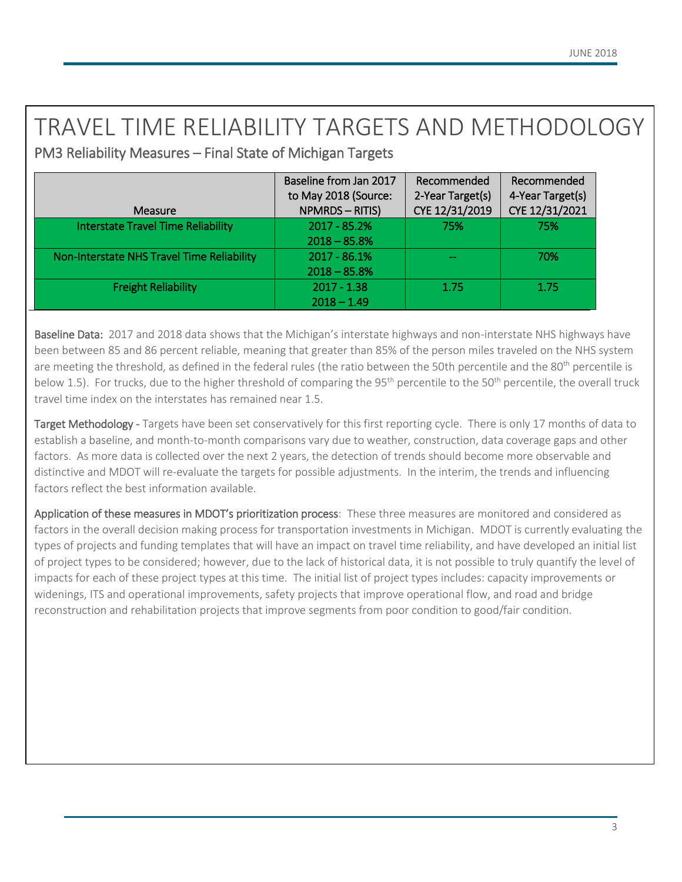## TRAVEL TIME RELIABILITY TARGETS AND METHODOLOGY

PM3 Reliability Measures – Final State of Michigan Targets

|                                            | Baseline from Jan 2017 | Recommended      | Recommended      |
|--------------------------------------------|------------------------|------------------|------------------|
|                                            | to May 2018 (Source:   | 2-Year Target(s) | 4-Year Target(s) |
| <b>Measure</b>                             | <b>NPMRDS-RITIS)</b>   | CYE 12/31/2019   | CYE 12/31/2021   |
| <b>Interstate Travel Time Reliability</b>  | 2017 - 85.2%           | 75%              | 75%              |
|                                            | $2018 - 85.8\%$        |                  |                  |
| Non-Interstate NHS Travel Time Reliability | $2017 - 86.1%$         |                  | 70%              |
|                                            | $2018 - 85.8%$         |                  |                  |
| <b>Freight Reliability</b>                 | $2017 - 1.38$          | 1.75             | 1.75             |
|                                            | $2018 - 1.49$          |                  |                  |

Baseline Data: 2017 and 2018 data shows that the Michigan's interstate highways and non-interstate NHS highways have been between 85 and 86 percent reliable, meaning that greater than 85% of the person miles traveled on the NHS system are meeting the threshold, as defined in the federal rules (the ratio between the 50th percentile and the 80<sup>th</sup> percentile is below 1.5). For trucks, due to the higher threshold of comparing the  $95<sup>th</sup>$  percentile to the 50<sup>th</sup> percentile, the overall truck travel time index on the interstates has remained near 1.5.

Target Methodology - Targets have been set conservatively for this first reporting cycle. There is only 17 months of data to establish a baseline, and month-to-month comparisons vary due to weather, construction, data coverage gaps and other factors. As more data is collected over the next 2 years, the detection of trends should become more observable and distinctive and MDOT will re-evaluate the targets for possible adjustments. In the interim, the trends and influencing factors reflect the best information available.

Application of these measures in MDOT's prioritization process: These three measures are monitored and considered as factors in the overall decision making process for transportation investments in Michigan. MDOT is currently evaluating the types of projects and funding templates that will have an impact on travel time reliability, and have developed an initial list of project types to be considered; however, due to the lack of historical data, it is not possible to truly quantify the level of impacts for each of these project types at this time. The initial list of project types includes: capacity improvements or widenings, ITS and operational improvements, safety projects that improve operational flow, and road and bridge reconstruction and rehabilitation projects that improve segments from poor condition to good/fair condition.